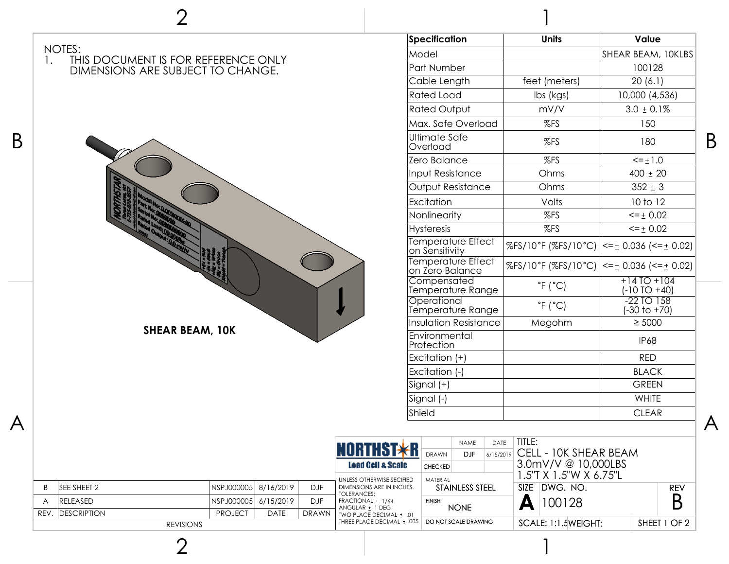

2

1